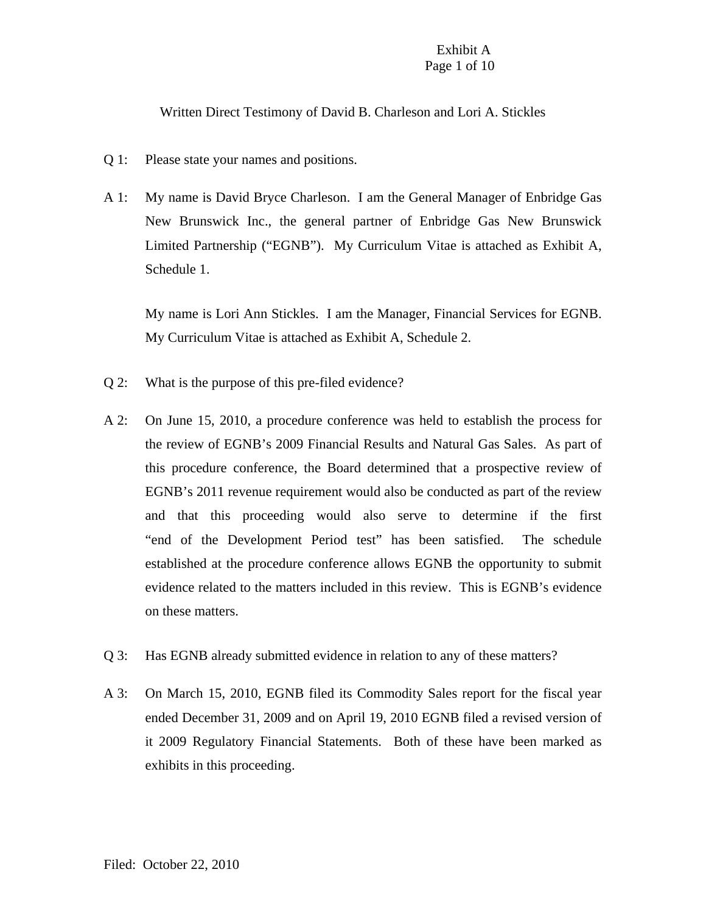## Exhibit A Page 1 of 10

Written Direct Testimony of David B. Charleson and Lori A. Stickles

- Q 1: Please state your names and positions.
- A 1: My name is David Bryce Charleson. I am the General Manager of Enbridge Gas New Brunswick Inc., the general partner of Enbridge Gas New Brunswick Limited Partnership ("EGNB"). My Curriculum Vitae is attached as Exhibit A, Schedule 1.

My name is Lori Ann Stickles. I am the Manager, Financial Services for EGNB. My Curriculum Vitae is attached as Exhibit A, Schedule 2.

- Q 2: What is the purpose of this pre-filed evidence?
- A 2: On June 15, 2010, a procedure conference was held to establish the process for the review of EGNB's 2009 Financial Results and Natural Gas Sales. As part of this procedure conference, the Board determined that a prospective review of EGNB's 2011 revenue requirement would also be conducted as part of the review and that this proceeding would also serve to determine if the first "end of the Development Period test" has been satisfied. The schedule established at the procedure conference allows EGNB the opportunity to submit evidence related to the matters included in this review. This is EGNB's evidence on these matters.
- Q 3: Has EGNB already submitted evidence in relation to any of these matters?
- A 3: On March 15, 2010, EGNB filed its Commodity Sales report for the fiscal year ended December 31, 2009 and on April 19, 2010 EGNB filed a revised version of it 2009 Regulatory Financial Statements. Both of these have been marked as exhibits in this proceeding.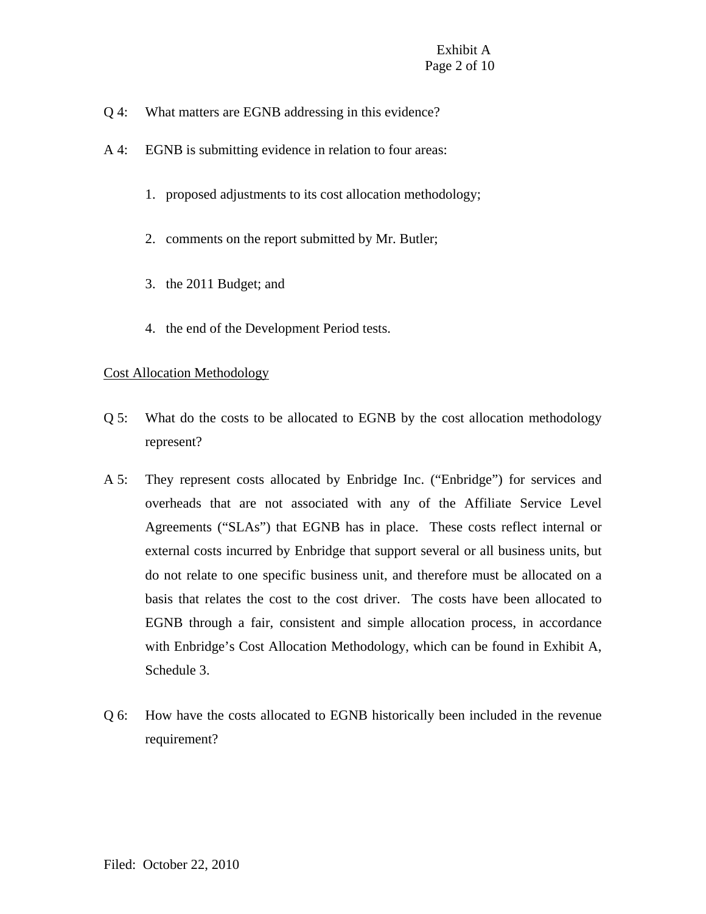- Q 4: What matters are EGNB addressing in this evidence?
- A 4: EGNB is submitting evidence in relation to four areas:
	- 1. proposed adjustments to its cost allocation methodology;
	- 2. comments on the report submitted by Mr. Butler;
	- 3. the 2011 Budget; and
	- 4. the end of the Development Period tests.

# Cost Allocation Methodology

- Q 5: What do the costs to be allocated to EGNB by the cost allocation methodology represent?
- A 5: They represent costs allocated by Enbridge Inc. ("Enbridge") for services and overheads that are not associated with any of the Affiliate Service Level Agreements ("SLAs") that EGNB has in place. These costs reflect internal or external costs incurred by Enbridge that support several or all business units, but do not relate to one specific business unit, and therefore must be allocated on a basis that relates the cost to the cost driver. The costs have been allocated to EGNB through a fair, consistent and simple allocation process, in accordance with Enbridge's Cost Allocation Methodology, which can be found in Exhibit A, Schedule 3.
- Q 6: How have the costs allocated to EGNB historically been included in the revenue requirement?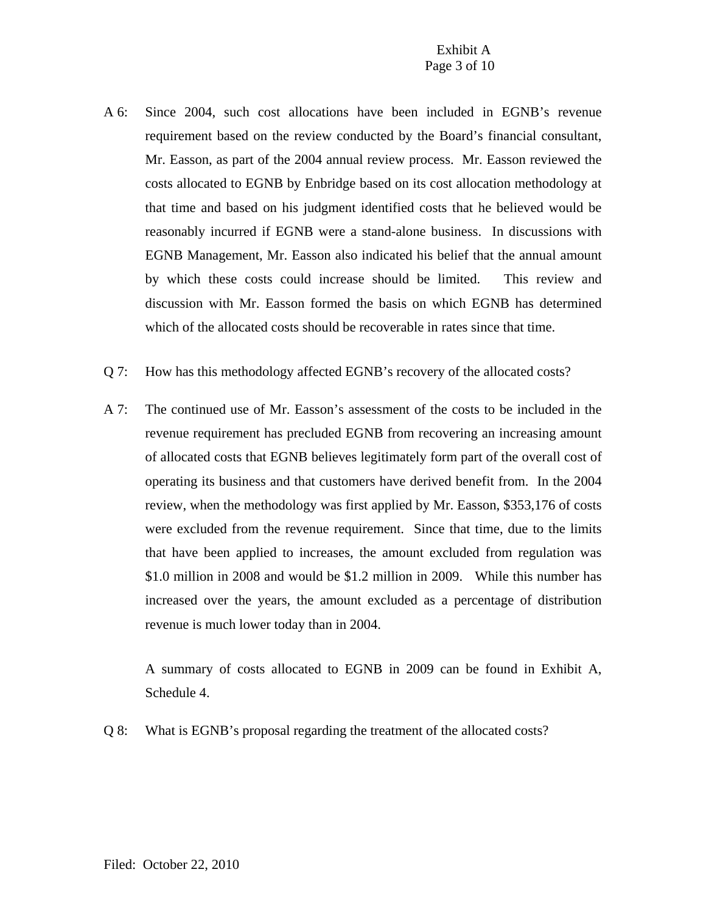- A 6: Since 2004, such cost allocations have been included in EGNB's revenue requirement based on the review conducted by the Board's financial consultant, Mr. Easson, as part of the 2004 annual review process. Mr. Easson reviewed the costs allocated to EGNB by Enbridge based on its cost allocation methodology at that time and based on his judgment identified costs that he believed would be reasonably incurred if EGNB were a stand-alone business. In discussions with EGNB Management, Mr. Easson also indicated his belief that the annual amount by which these costs could increase should be limited. This review and discussion with Mr. Easson formed the basis on which EGNB has determined which of the allocated costs should be recoverable in rates since that time.
- Q 7: How has this methodology affected EGNB's recovery of the allocated costs?
- A 7: The continued use of Mr. Easson's assessment of the costs to be included in the revenue requirement has precluded EGNB from recovering an increasing amount of allocated costs that EGNB believes legitimately form part of the overall cost of operating its business and that customers have derived benefit from. In the 2004 review, when the methodology was first applied by Mr. Easson, \$353,176 of costs were excluded from the revenue requirement. Since that time, due to the limits that have been applied to increases, the amount excluded from regulation was \$1.0 million in 2008 and would be \$1.2 million in 2009. While this number has increased over the years, the amount excluded as a percentage of distribution revenue is much lower today than in 2004.

A summary of costs allocated to EGNB in 2009 can be found in Exhibit A, Schedule 4.

Q 8: What is EGNB's proposal regarding the treatment of the allocated costs?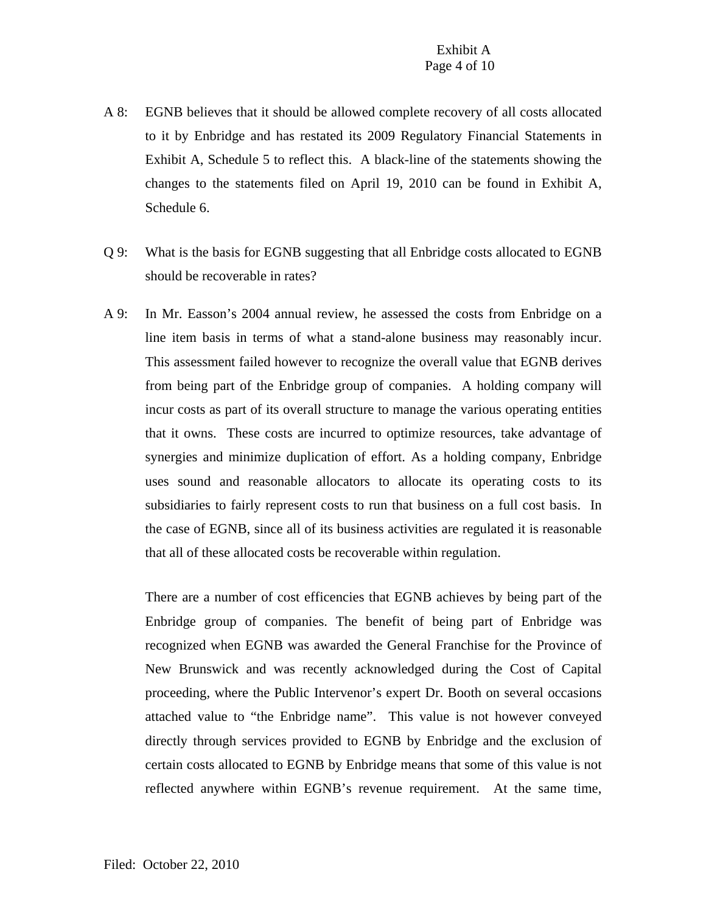- A 8: EGNB believes that it should be allowed complete recovery of all costs allocated to it by Enbridge and has restated its 2009 Regulatory Financial Statements in Exhibit A, Schedule 5 to reflect this. A black-line of the statements showing the changes to the statements filed on April 19, 2010 can be found in Exhibit A, Schedule 6.
- Q 9: What is the basis for EGNB suggesting that all Enbridge costs allocated to EGNB should be recoverable in rates?
- A 9: In Mr. Easson's 2004 annual review, he assessed the costs from Enbridge on a line item basis in terms of what a stand-alone business may reasonably incur. This assessment failed however to recognize the overall value that EGNB derives from being part of the Enbridge group of companies. A holding company will incur costs as part of its overall structure to manage the various operating entities that it owns. These costs are incurred to optimize resources, take advantage of synergies and minimize duplication of effort. As a holding company, Enbridge uses sound and reasonable allocators to allocate its operating costs to its subsidiaries to fairly represent costs to run that business on a full cost basis. In the case of EGNB, since all of its business activities are regulated it is reasonable that all of these allocated costs be recoverable within regulation.

There are a number of cost efficencies that EGNB achieves by being part of the Enbridge group of companies. The benefit of being part of Enbridge was recognized when EGNB was awarded the General Franchise for the Province of New Brunswick and was recently acknowledged during the Cost of Capital proceeding, where the Public Intervenor's expert Dr. Booth on several occasions attached value to "the Enbridge name". This value is not however conveyed directly through services provided to EGNB by Enbridge and the exclusion of certain costs allocated to EGNB by Enbridge means that some of this value is not reflected anywhere within EGNB's revenue requirement. At the same time,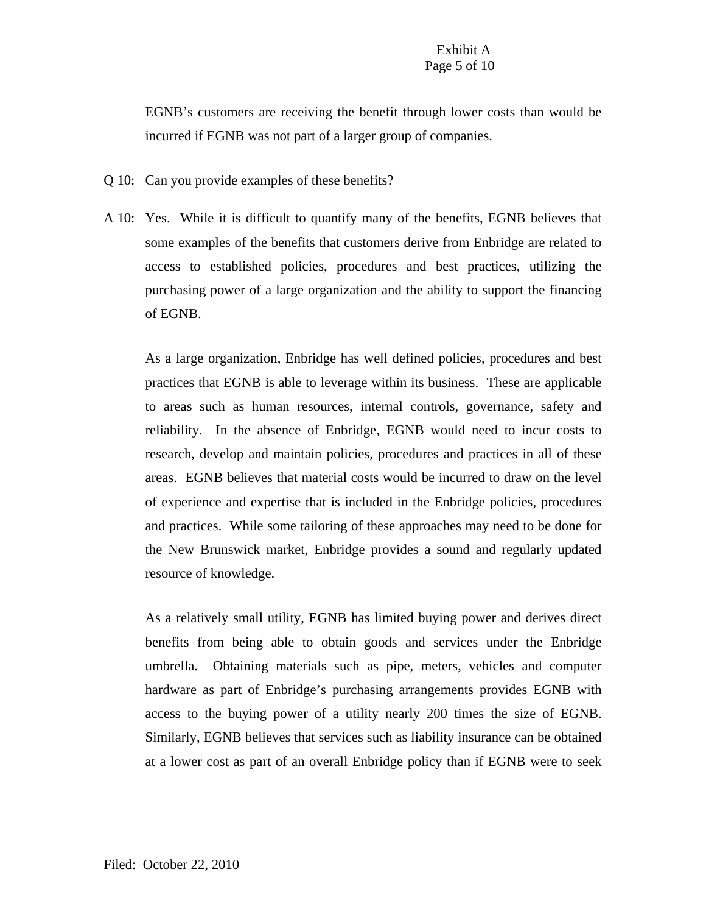EGNB's customers are receiving the benefit through lower costs than would be incurred if EGNB was not part of a larger group of companies.

- Q 10: Can you provide examples of these benefits?
- A 10: Yes. While it is difficult to quantify many of the benefits, EGNB believes that some examples of the benefits that customers derive from Enbridge are related to access to established policies, procedures and best practices, utilizing the purchasing power of a large organization and the ability to support the financing of EGNB.

As a large organization, Enbridge has well defined policies, procedures and best practices that EGNB is able to leverage within its business. These are applicable to areas such as human resources, internal controls, governance, safety and reliability. In the absence of Enbridge, EGNB would need to incur costs to research, develop and maintain policies, procedures and practices in all of these areas. EGNB believes that material costs would be incurred to draw on the level of experience and expertise that is included in the Enbridge policies, procedures and practices. While some tailoring of these approaches may need to be done for the New Brunswick market, Enbridge provides a sound and regularly updated resource of knowledge.

As a relatively small utility, EGNB has limited buying power and derives direct benefits from being able to obtain goods and services under the Enbridge umbrella. Obtaining materials such as pipe, meters, vehicles and computer hardware as part of Enbridge's purchasing arrangements provides EGNB with access to the buying power of a utility nearly 200 times the size of EGNB. Similarly, EGNB believes that services such as liability insurance can be obtained at a lower cost as part of an overall Enbridge policy than if EGNB were to seek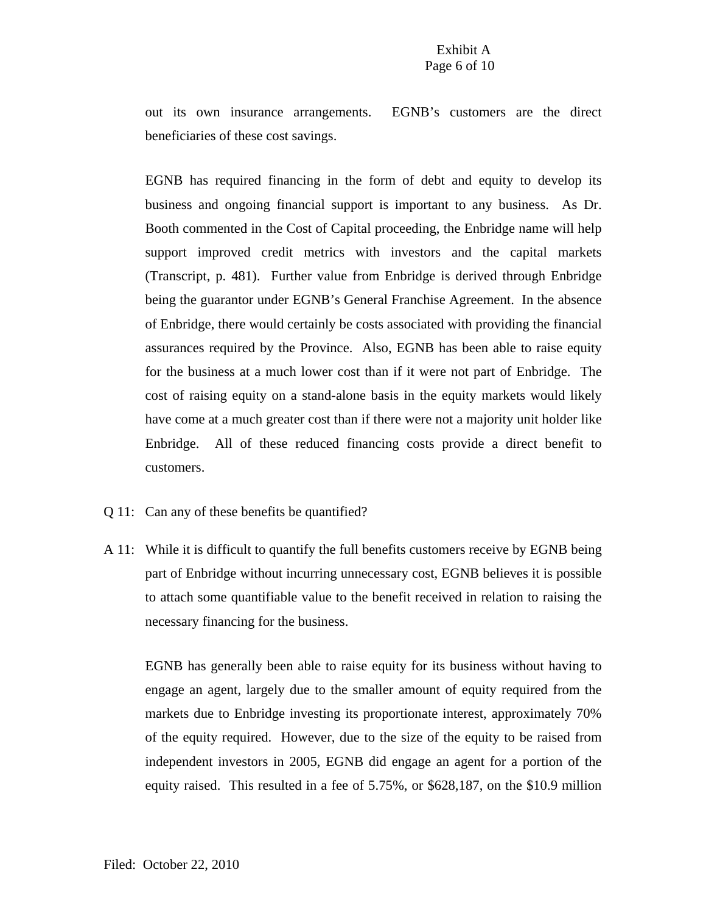## Exhibit A Page 6 of 10

out its own insurance arrangements. EGNB's customers are the direct beneficiaries of these cost savings.

EGNB has required financing in the form of debt and equity to develop its business and ongoing financial support is important to any business. As Dr. Booth commented in the Cost of Capital proceeding, the Enbridge name will help support improved credit metrics with investors and the capital markets (Transcript, p. 481). Further value from Enbridge is derived through Enbridge being the guarantor under EGNB's General Franchise Agreement. In the absence of Enbridge, there would certainly be costs associated with providing the financial assurances required by the Province. Also, EGNB has been able to raise equity for the business at a much lower cost than if it were not part of Enbridge. The cost of raising equity on a stand-alone basis in the equity markets would likely have come at a much greater cost than if there were not a majority unit holder like Enbridge. All of these reduced financing costs provide a direct benefit to customers.

- Q 11: Can any of these benefits be quantified?
- A 11: While it is difficult to quantify the full benefits customers receive by EGNB being part of Enbridge without incurring unnecessary cost, EGNB believes it is possible to attach some quantifiable value to the benefit received in relation to raising the necessary financing for the business.

EGNB has generally been able to raise equity for its business without having to engage an agent, largely due to the smaller amount of equity required from the markets due to Enbridge investing its proportionate interest, approximately 70% of the equity required. However, due to the size of the equity to be raised from independent investors in 2005, EGNB did engage an agent for a portion of the equity raised. This resulted in a fee of 5.75%, or \$628,187, on the \$10.9 million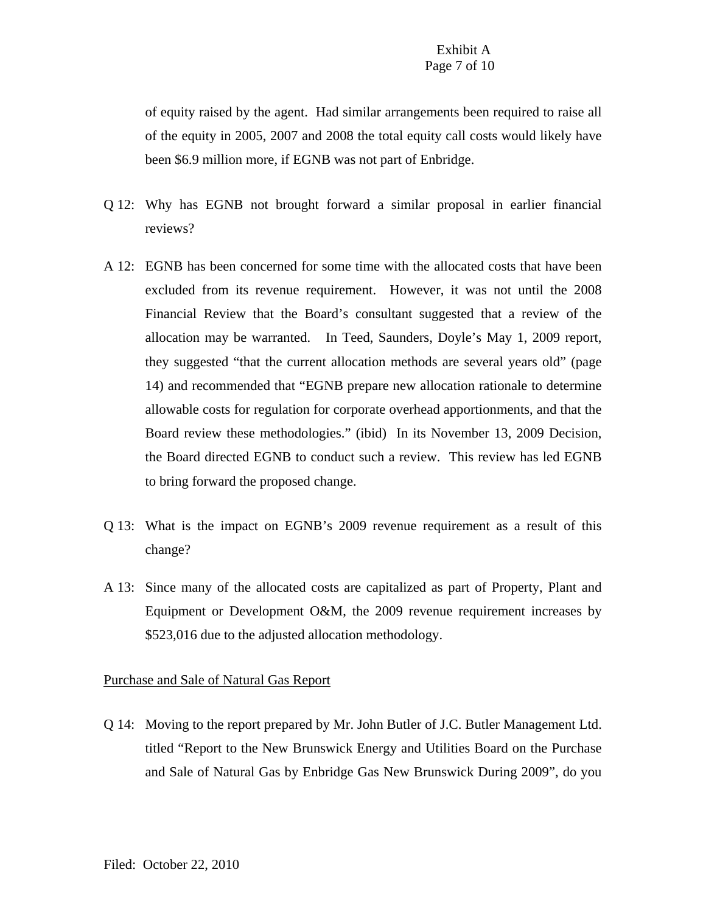of equity raised by the agent. Had similar arrangements been required to raise all of the equity in 2005, 2007 and 2008 the total equity call costs would likely have been \$6.9 million more, if EGNB was not part of Enbridge.

- Q 12: Why has EGNB not brought forward a similar proposal in earlier financial reviews?
- A 12: EGNB has been concerned for some time with the allocated costs that have been excluded from its revenue requirement. However, it was not until the 2008 Financial Review that the Board's consultant suggested that a review of the allocation may be warranted. In Teed, Saunders, Doyle's May 1, 2009 report, they suggested "that the current allocation methods are several years old" (page 14) and recommended that "EGNB prepare new allocation rationale to determine allowable costs for regulation for corporate overhead apportionments, and that the Board review these methodologies." (ibid) In its November 13, 2009 Decision, the Board directed EGNB to conduct such a review. This review has led EGNB to bring forward the proposed change.
- Q 13: What is the impact on EGNB's 2009 revenue requirement as a result of this change?
- A 13: Since many of the allocated costs are capitalized as part of Property, Plant and Equipment or Development O&M, the 2009 revenue requirement increases by \$523,016 due to the adjusted allocation methodology.

#### Purchase and Sale of Natural Gas Report

Q 14: Moving to the report prepared by Mr. John Butler of J.C. Butler Management Ltd. titled "Report to the New Brunswick Energy and Utilities Board on the Purchase and Sale of Natural Gas by Enbridge Gas New Brunswick During 2009", do you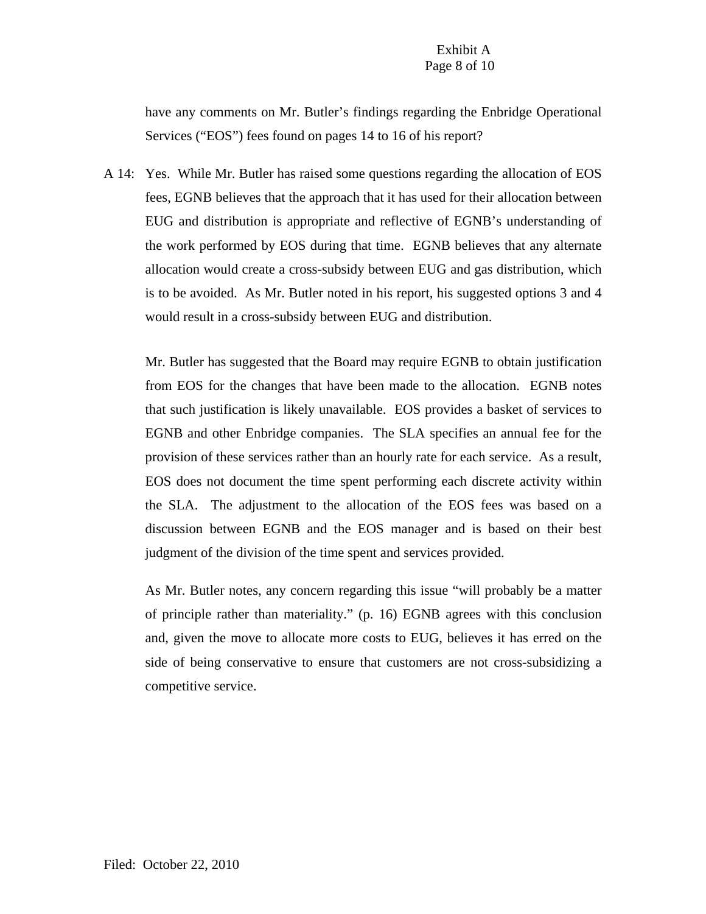# Exhibit A Page 8 of 10

have any comments on Mr. Butler's findings regarding the Enbridge Operational Services ("EOS") fees found on pages 14 to 16 of his report?

A 14: Yes. While Mr. Butler has raised some questions regarding the allocation of EOS fees, EGNB believes that the approach that it has used for their allocation between EUG and distribution is appropriate and reflective of EGNB's understanding of the work performed by EOS during that time. EGNB believes that any alternate allocation would create a cross-subsidy between EUG and gas distribution, which is to be avoided. As Mr. Butler noted in his report, his suggested options 3 and 4 would result in a cross-subsidy between EUG and distribution.

Mr. Butler has suggested that the Board may require EGNB to obtain justification from EOS for the changes that have been made to the allocation. EGNB notes that such justification is likely unavailable. EOS provides a basket of services to EGNB and other Enbridge companies. The SLA specifies an annual fee for the provision of these services rather than an hourly rate for each service. As a result, EOS does not document the time spent performing each discrete activity within the SLA. The adjustment to the allocation of the EOS fees was based on a discussion between EGNB and the EOS manager and is based on their best judgment of the division of the time spent and services provided.

As Mr. Butler notes, any concern regarding this issue "will probably be a matter of principle rather than materiality." (p. 16) EGNB agrees with this conclusion and, given the move to allocate more costs to EUG, believes it has erred on the side of being conservative to ensure that customers are not cross-subsidizing a competitive service.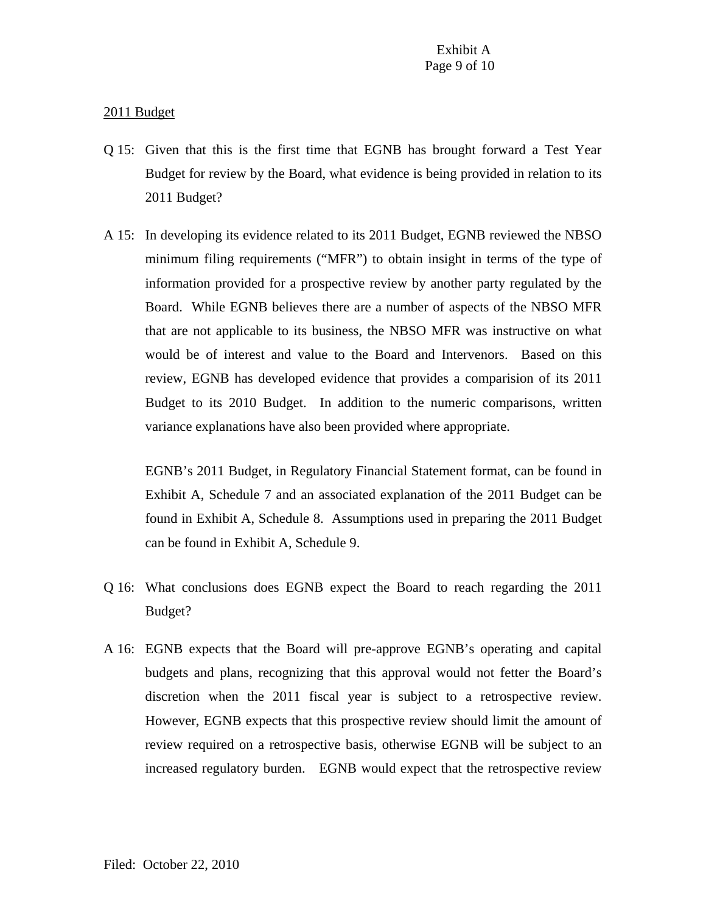## 2011 Budget

- Q 15: Given that this is the first time that EGNB has brought forward a Test Year Budget for review by the Board, what evidence is being provided in relation to its 2011 Budget?
- A 15: In developing its evidence related to its 2011 Budget, EGNB reviewed the NBSO minimum filing requirements ("MFR") to obtain insight in terms of the type of information provided for a prospective review by another party regulated by the Board. While EGNB believes there are a number of aspects of the NBSO MFR that are not applicable to its business, the NBSO MFR was instructive on what would be of interest and value to the Board and Intervenors. Based on this review, EGNB has developed evidence that provides a comparision of its 2011 Budget to its 2010 Budget. In addition to the numeric comparisons, written variance explanations have also been provided where appropriate.

EGNB's 2011 Budget, in Regulatory Financial Statement format, can be found in Exhibit A, Schedule 7 and an associated explanation of the 2011 Budget can be found in Exhibit A, Schedule 8. Assumptions used in preparing the 2011 Budget can be found in Exhibit A, Schedule 9.

- Q 16: What conclusions does EGNB expect the Board to reach regarding the 2011 Budget?
- A 16: EGNB expects that the Board will pre-approve EGNB's operating and capital budgets and plans, recognizing that this approval would not fetter the Board's discretion when the 2011 fiscal year is subject to a retrospective review. However, EGNB expects that this prospective review should limit the amount of review required on a retrospective basis, otherwise EGNB will be subject to an increased regulatory burden. EGNB would expect that the retrospective review